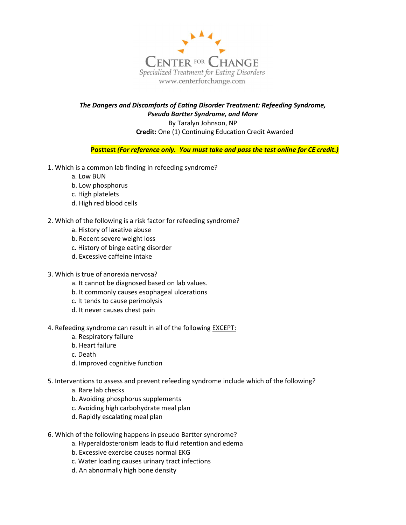

## The Dangers and Discomforts of Eating Disorder Treatment: Refeeding Syndrome, Pseudo Bartter Syndrome, and More By Taralyn Johnson, NP

Credit: One (1) Continuing Education Credit Awarded

Posttest (For reference only. You must take and pass the test online for CE credit.)

- 1. Which is a common lab finding in refeeding syndrome?
	- a. Low BUN
	- b. Low phosphorus
	- c. High platelets
	- d. High red blood cells
- 2. Which of the following is a risk factor for refeeding syndrome?
	- a. History of laxative abuse
	- b. Recent severe weight loss
	- c. History of binge eating disorder
	- d. Excessive caffeine intake
- 3. Which is true of anorexia nervosa?
	- a. It cannot be diagnosed based on lab values.
	- b. It commonly causes esophageal ulcerations
	- c. It tends to cause perimolysis
	- d. It never causes chest pain
- 4. Refeeding syndrome can result in all of the following EXCEPT:
	- a. Respiratory failure
	- b. Heart failure
	- c. Death
	- d. Improved cognitive function
- 5. Interventions to assess and prevent refeeding syndrome include which of the following?
	- a. Rare lab checks
	- b. Avoiding phosphorus supplements
	- c. Avoiding high carbohydrate meal plan
	- d. Rapidly escalating meal plan
- 6. Which of the following happens in pseudo Bartter syndrome?
	- a. Hyperaldosteronism leads to fluid retention and edema
	- b. Excessive exercise causes normal EKG
	- c. Water loading causes urinary tract infections
	- d. An abnormally high bone density